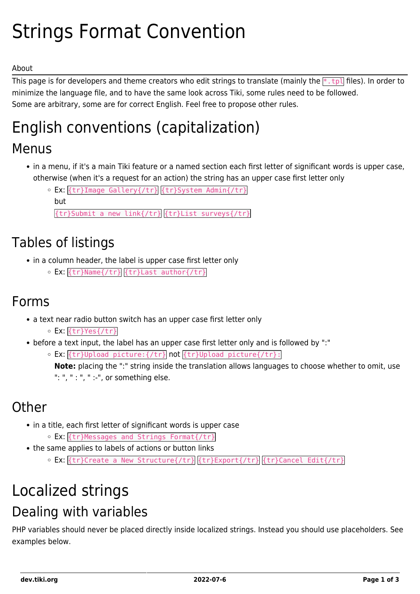# Strings Format Convention

#### About

This page is for developers and theme creators who edit strings to translate (mainly the  $*$ . tpl files). In order to minimize the language file, and to have the same look across Tiki, some rules need to be followed. Some are arbitrary, some are for correct English. Feel free to propose other rules.

# English conventions (capitalization)

### Menus

- in a menu, if it's a main Tiki feature or a named section each first letter of significant words is upper case, otherwise (when it's a request for an action) the string has an upper case first letter only
	- Ex: {tr}Image Gallery{/tr} {tr}System Admin{/tr} but

{tr}Submit a new link{/tr} {tr}List surveys{/tr}

## Tables of listings

- in a column header, the label is upper case first letter only
	- Ex: {tr}Name{/tr} {tr}Last author{/tr}

#### Forms

- a text near radio button switch has an upper case first letter only
	- Ex: {tr}Yes{/tr}
- before a text input, the label has an upper case first letter only and is followed by ":"
	- Ex: {tr}Upload picture:{/tr} not {tr}Upload picture{/tr}: **Note:** placing the ":" string inside the translation allows languages to choose whether to omit, use ": ", " : ", " :-", or something else.

## **Other**

- in a title, each first letter of significant words is upper case
	- Ex: {tr}Messages and Strings Format{/tr}
- the same applies to labels of actions or button links
	- o Ex: {tr}Create a New Structure{/tr} {tr}Export{/tr} {tr}Cancel Edit{/tr}

## Localized strings Dealing with variables

PHP variables should never be placed directly inside localized strings. Instead you should use placeholders. See examples below.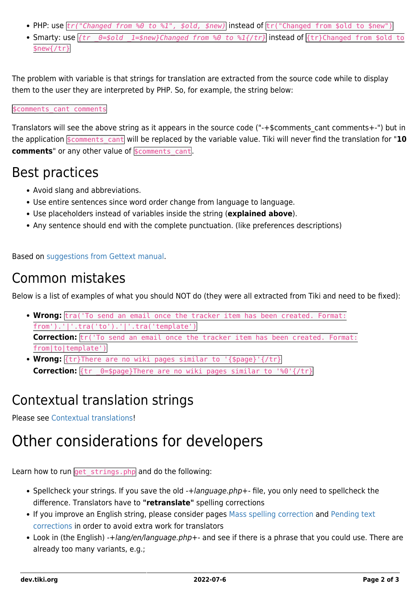- PHP: use  $tr("Changed from %0 to %1", %old, %new)|$  instead of  $tr("Changed from $old to $new")$
- Smarty: use  $\{tr \quad \theta = \text{fold} \quad 1 = \text{shew}}C$ hanged from %0 to %1 $\{f tr\}$  instead of  $\{\text{tr}\}C$ hanged from \$old to \$new{/tr}

The problem with variable is that strings for translation are extracted from the source code while to display them to the user they are interpreted by PHP. So, for example, the string below:

#### \$comments cant comments

Translators will see the above string as it appears in the source code ("-+\$comments cant comments+-") but in the application **\$comments** cant will be replaced by the variable value. Tiki will never find the translation for "10 **comments**" or any other value of **\$comments** cant.

#### Best practices

- Avoid slang and abbreviations.
- Use entire sentences since word order change from language to language.
- Use placeholders instead of variables inside the string (**explained above**).
- Any sentence should end with the complete punctuation. (like preferences descriptions)

Based on [suggestions from Gettext manual.](http://www.gnu.org/software/gettext/manual/html_node/Preparing-Strings.html#Preparing-Strings)

### Common mistakes

Below is a list of examples of what you should NOT do (they were all extracted from Tiki and need to be fixed):

- **Wrong:** tra('To send an email once the tracker item has been created. Format: from').'|'.tra('to').'|'.tra('template') Correction:  $tr('To send an email once the tracker item has been created. Format:$ from|to|template')
- **Wrong:** {tr}There are no wiki pages similar to '{\$page}'{/tr} **Correction:**  $\{tr$  0=\$page}There are no wiki pages similar to '%0'{/tr}

## Contextual translation strings

Please see [Contextual translations](https://dev.tiki.org/Contextual-translations)!

## Other considerations for developers

Learn how to run get strings.php and do the following:

- Spellcheck your strings. If you save the old -+language.php+- file, you only need to spellcheck the difference. Translators have to **"retranslate"** spelling corrections
- If you improve an English string, please consider pages [Mass spelling correction](https://dev.tiki.org/Mass-spelling-correction) and [Pending text](https://dev.tiki.org/Pending-text-corrections) [corrections](https://dev.tiki.org/Pending-text-corrections) in order to avoid extra work for translators
- Look in (the English) -+lang/en/language.php+- and see if there is a phrase that you could use. There are already too many variants, e.g.;